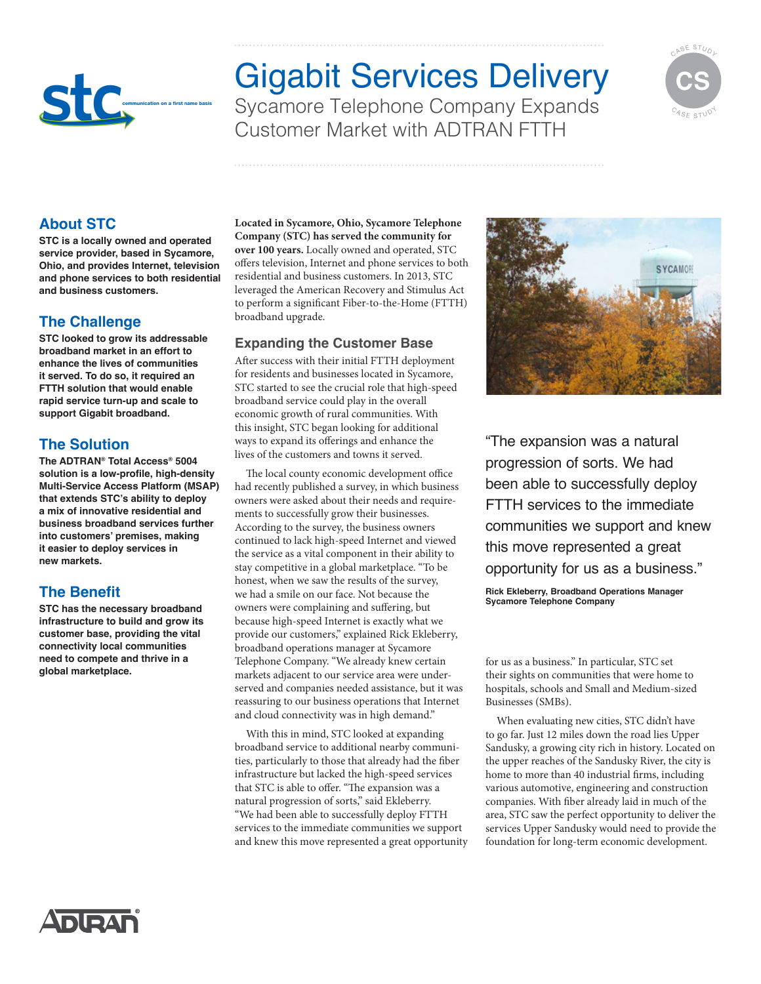

# Gigabit Services Delivery Sycamore Telephone Company Expands Customer Market with ADTRAN FTTH



## **About STC**

**STC is a locally owned and operated service provider, based in Sycamore, Ohio, and provides Internet, television and phone services to both residential and business customers.** 

### **The Challenge**

**STC looked to grow its addressable broadband market in an effort to enhance the lives of communities it served. To do so, it required an FTTH solution that would enable rapid service turn-up and scale to support Gigabit broadband.**

### **The Solution**

**The ADTRAN® Total Access® 5004 solution is a low-profile, high-density Multi-Service Access Platform (MSAP) that extends STC's ability to deploy a mix of innovative residential and business broadband services further into customers' premises, making it easier to deploy services in new markets.**

### **The Benefit**

**STC has the necessary broadband infrastructure to build and grow its customer base, providing the vital connectivity local communities need to compete and thrive in a global marketplace.**

**Located in Sycamore, Ohio, Sycamore Telephone Company (STC) has served the community for over 100 years.** Locally owned and operated, STC offers television, Internet and phone services to both residential and business customers. In 2013, STC leveraged the American Recovery and Stimulus Act to perform a significant Fiber-to-the-Home (FTTH) broadband upgrade.

#### **Expanding the Customer Base**

After success with their initial FTTH deployment for residents and businesses located in Sycamore, STC started to see the crucial role that high-speed broadband service could play in the overall economic growth of rural communities. With this insight, STC began looking for additional ways to expand its offerings and enhance the lives of the customers and towns it served.

The local county economic development office had recently published a survey, in which business owners were asked about their needs and requirements to successfully grow their businesses. According to the survey, the business owners continued to lack high-speed Internet and viewed the service as a vital component in their ability to stay competitive in a global marketplace. "To be honest, when we saw the results of the survey, we had a smile on our face. Not because the owners were complaining and suffering, but because high-speed Internet is exactly what we provide our customers," explained Rick Ekleberry, broadband operations manager at Sycamore Telephone Company. "We already knew certain markets adjacent to our service area were underserved and companies needed assistance, but it was reassuring to our business operations that Internet and cloud connectivity was in high demand."

With this in mind, STC looked at expanding broadband service to additional nearby communities, particularly to those that already had the fiber infrastructure but lacked the high-speed services that STC is able to offer. "The expansion was a natural progression of sorts," said Ekleberry. "We had been able to successfully deploy FTTH services to the immediate communities we support and knew this move represented a great opportunity



"The expansion was a natural progression of sorts. We had been able to successfully deploy FTTH services to the immediate communities we support and knew this move represented a great opportunity for us as a business."

**Rick Ekleberry, Broadband Operations Manager Sycamore Telephone Company**

for us as a business." In particular, STC set their sights on communities that were home to hospitals, schools and Small and Medium-sized Businesses (SMBs).

When evaluating new cities, STC didn't have to go far. Just 12 miles down the road lies Upper Sandusky, a growing city rich in history. Located on the upper reaches of the Sandusky River, the city is home to more than 40 industrial firms, including various automotive, engineering and construction companies. With fiber already laid in much of the area, STC saw the perfect opportunity to deliver the services Upper Sandusky would need to provide the foundation for long-term economic development.